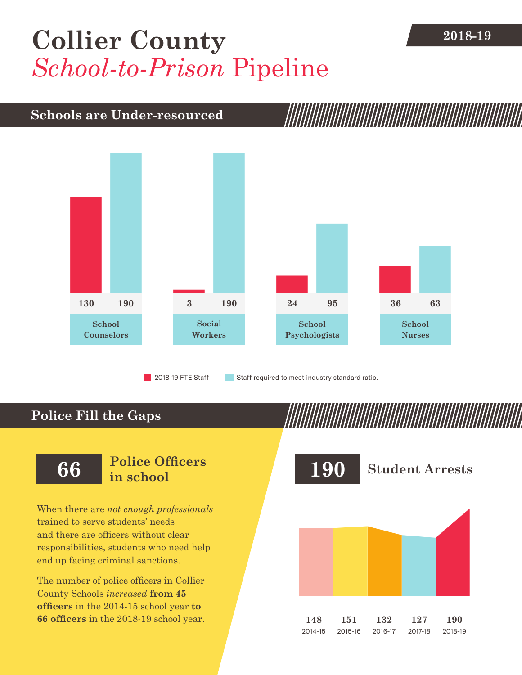## [Collier County](DBF_County) **2018-19** *School-to-Prison* Pipeline

#### **Schools are Under-resourced**



2018-19 FTE Staff **Staff required to meet industry standard ratio.** 

### **Police Fill the Gaps**

When there are *not enough professionals* trained to serve students' needs and there are officers without clear responsibilities, students who need help end up facing criminal sanctions.

The number of police officers in [Collier](DBF_County)  [County](DBF_County) Schools *increased* **from [45](DBF_PO1415)  officers** in the 2014-15 school year **to [66](DBF_PO) officers** in the 2018-19 school year.